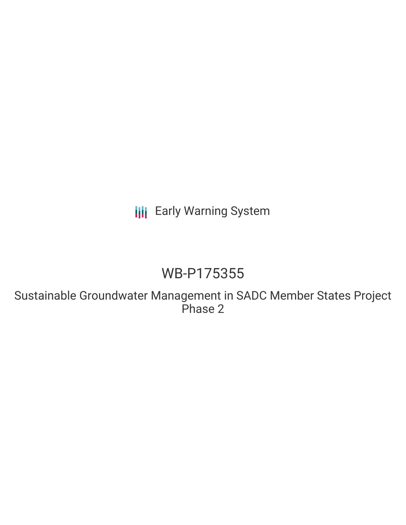**III** Early Warning System

## WB-P175355

Sustainable Groundwater Management in SADC Member States Project Phase 2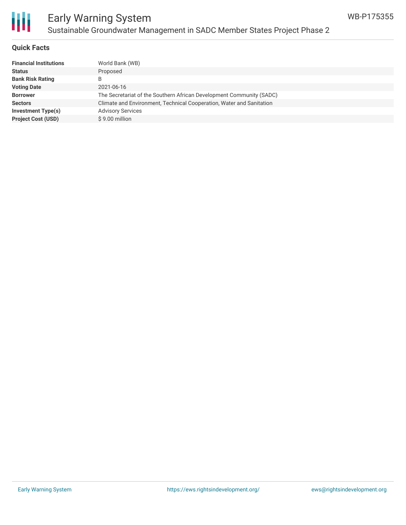

#### **Quick Facts**

| <b>Financial Institutions</b> | World Bank (WB)                                                      |
|-------------------------------|----------------------------------------------------------------------|
| <b>Status</b>                 | Proposed                                                             |
| <b>Bank Risk Rating</b>       | B                                                                    |
| <b>Voting Date</b>            | 2021-06-16                                                           |
| <b>Borrower</b>               | The Secretariat of the Southern African Development Community (SADC) |
| <b>Sectors</b>                | Climate and Environment, Technical Cooperation, Water and Sanitation |
| Investment Type(s)            | <b>Advisory Services</b>                                             |
| <b>Project Cost (USD)</b>     | \$9.00 million                                                       |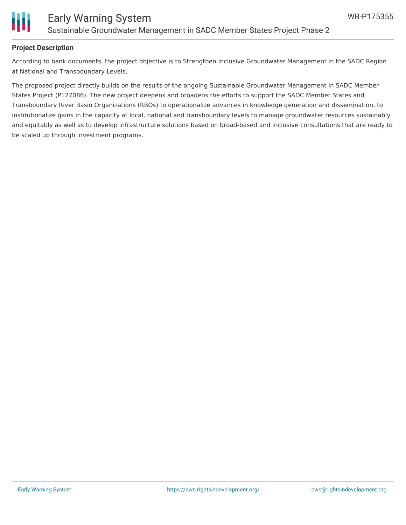

#### **Project Description**

According to bank documents, the project objective is to Strengthen Inclusive Groundwater Management in the SADC Region at National and Transboundary Levels.

The proposed project directly builds on the results of the ongoing Sustainable Groundwater Management in SADC Member States Project (P127086). The new project deepens and broadens the efforts to support the SADC Member States and Transboundary River Basin Organizations (RBOs) to operationalize advances in knowledge generation and dissemination, to institutionalize gains in the capacity at local, national and transboundary levels to manage groundwater resources sustainably and equitably as well as to develop infrastructure solutions based on broad-based and inclusive consultations that are ready to be scaled up through investment programs.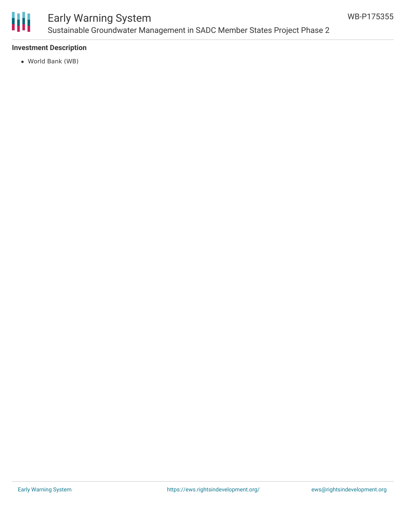

### Early Warning System Sustainable Groundwater Management in SADC Member States Project Phase 2

#### **Investment Description**

World Bank (WB)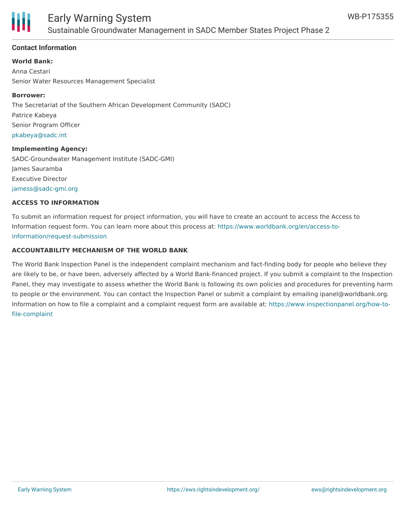

#### **Contact Information**

**World Bank:**

Anna Cestari Senior Water Resources Management Specialist

#### **Borrower:**

The Secretariat of the Southern African Development Community (SADC) Patrice Kabeya Senior Program Officer [pkabeya@sadc.int](mailto:pkabeya@sadc.int)

#### **Implementing Agency:**

SADC-Groundwater Management Institute (SADC-GMI) James Sauramba Executive Director [jamess@sadc-gmi.org](mailto:jamess@sadc-gmi.org)

#### **ACCESS TO INFORMATION**

To submit an information request for project information, you will have to create an account to access the Access to Information request form. You can learn more about this process at: [https://www.worldbank.org/en/access-to](https://www.worldbank.org/en/access-to-information/request-submission)information/request-submission

#### **ACCOUNTABILITY MECHANISM OF THE WORLD BANK**

The World Bank Inspection Panel is the independent complaint mechanism and fact-finding body for people who believe they are likely to be, or have been, adversely affected by a World Bank-financed project. If you submit a complaint to the Inspection Panel, they may investigate to assess whether the World Bank is following its own policies and procedures for preventing harm to people or the environment. You can contact the Inspection Panel or submit a complaint by emailing ipanel@worldbank.org. Information on how to file a complaint and a complaint request form are available at: [https://www.inspectionpanel.org/how-to](https://www.inspectionpanel.org/how-to-file-complaint)file-complaint